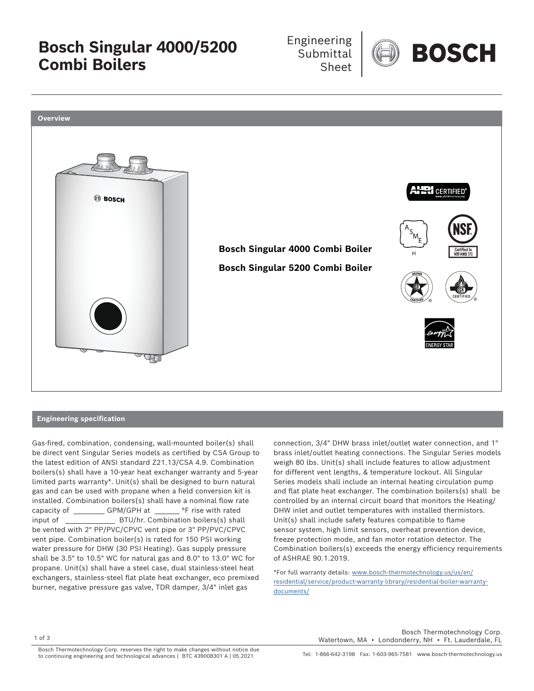**Bosch Singular 4000/5200 Combi Boilers**

 Engineering **Submittal** Sheet





## **Engineering specification**

Gas-fired, combination, condensing, wall-mounted boiler(s) shall be direct vent Singular Series models as certified by CSA Group to the latest edition of ANSI standard Z21.13/CSA 4.9. Combination boilers(s) shall have a 10-year heat exchanger warranty and 5-year limited parts warranty\*. Unit(s) shall be designed to burn natural gas and can be used with propane when a field conversion kit is installed. Combination boilers(s) shall have a nominal flow rate capacity of GPM/GPH at only in the vith rated input of THE BTU/hr. Combination boilers(s) shall be vented with 2" PP/PVC/CPVC vent pipe or 3" PP/PVC/CPVC vent pipe. Combination boiler(s) is rated for 150 PSI working water pressure for DHW (30 PSI Heating). Gas supply pressure shall be 3.5" to 10.5" WC for natural gas and 8.0" to 13.0" WC for propane. Unit(s) shall have a steel case, dual stainless-steel heat exchangers, stainless-steel flat plate heat exchanger, eco premixed burner, negative pressure gas valve, TDR damper, 3/4" inlet gas

connection, 3/4" DHW brass inlet/outlet water connection, and 1" brass inlet/outlet heating connections. The Singular Series models weigh 80 lbs. Unit(s) shall include features to allow adjustment for different vent lengths, & temperature lockout. All Singular Series models shall include an internal heating circulation pump and flat plate heat exchanger. The combination boilers(s) shall be controlled by an internal circuit board that monitors the Heating/ DHW inlet and outlet temperatures with installed thermistors. Unit(s) shall include safety features compatible to flame sensor system, high limit sensors, overheat prevention device, freeze protection mode, and fan motor rotation detector. The Combination boilers(s) exceeds the energy efficiency requirements of ASHRAE 90.1.2019.

\*For full warranty details: www.bosch-thermotechnology.us/us/en/ residential/service/product-warranty-library/residential-boiler-warrantydocuments/

 Bosch Thermotechnology Corp. Watertown, MA • Londonderry, NH • Ft. Lauderdale, FL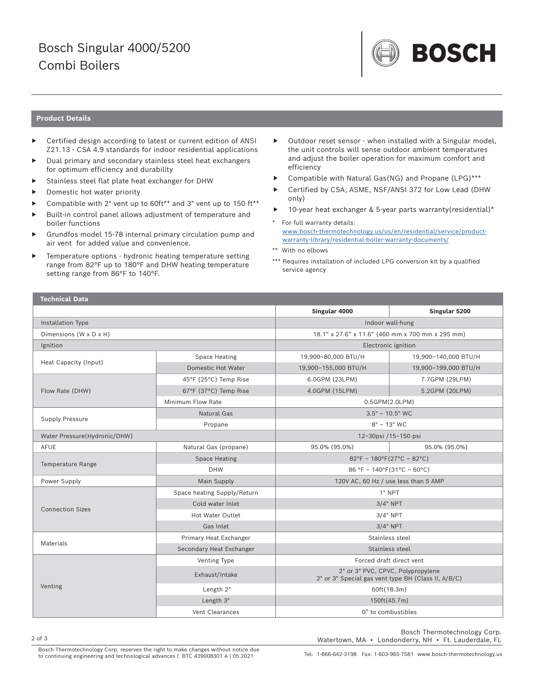## Bosch Singular 4000/5200 Combi Boilers



## **Product Details**

- Certified design according to latest or current edition of ANSI Z21.13 - CSA 4.9 standards for indoor residential applications
- Dual primary and secondary stainless steel heat exchangers for optimum efficiency and durability
- Stainless steel flat plate heat exchanger for DHW
- Domestic hot water priority
- Compatible with 2" vent up to 60ft\*\* and 3" vent up to 150 ft\*\*
- Built-in control panel allows adjustment of temperature and boiler functions
- Grundfos model 15-78 internal primary circulation pump and air vent for added value and convenience.
- Temperature options hydronic heating temperature setting range from 82°F up to 180°F and DHW heating temperature setting range from 86°F to 140°F.
- Outdoor reset sensor when installed with a Singular model, the unit controls will sense outdoor ambient temperatures and adjust the boiler operation for maximum comfort and efficiency
- ▶ Compatible with Natural Gas(NG) and Propane (LPG)\*\*\*
- Certified by CSA, ASME, NSF/ANSI 372 for Low Lead (DHW only)
- 10-year heat exchanger & 5-year parts warranty(residential)\*
- \* For full warranty details: www.bosch-thermotechnology.us/us/en/residential/service/productwarranty-library/residential-boiler-warranty-documents/
- \*\* With no elbows
- \*\*\* Requires installation of included LPG conversion kit by a qualified service agency

| <b>Technical Data</b>        |                             |                                                                                          |                      |  |
|------------------------------|-----------------------------|------------------------------------------------------------------------------------------|----------------------|--|
|                              |                             | Singular 4000                                                                            | Singular 5200        |  |
| Installation Type            |                             | Indoor wall-hung                                                                         |                      |  |
| Dimensions (W x D x H)       |                             | 18.1" x 27.6" x 11.6" (460 mm x 700 mm x 295 mm)                                         |                      |  |
| Ignition                     |                             | Electronic ignition                                                                      |                      |  |
| Heat Capacity (Input)        | <b>Space Heating</b>        | 19,900-80,000 BTU/H                                                                      | 19,900-140,000 BTU/H |  |
|                              | Domestic Hot Water          | 19,900-155,000 BTU/H                                                                     | 19,900-199,000 BTU/H |  |
| Flow Rate (DHW)              | 45°F (25°C) Temp Rise       | 6.0GPM (23LPM)                                                                           | 7.7GPM (29LPM)       |  |
|                              | 67°F (37°C) Temp Rise       | 4.0GPM (15LPM)                                                                           | 5.2GPM (20LPM)       |  |
|                              | Minimum Flow Rate           | $0.5$ GPM $(2.0$ LPM $)$                                                                 |                      |  |
| <b>Supply Pressure</b>       | <b>Natural Gas</b>          | $3.5" - 10.5"$ WC                                                                        |                      |  |
|                              | Propane                     | $8" - 13"$ WC                                                                            |                      |  |
| Water Pressure(Hydronic/DHW) |                             | 12~30psi /15~150 psi                                                                     |                      |  |
| AFUE                         | Natural Gas (propane)       | 95.0% (95.0%)                                                                            | 95.0% (95.0%)        |  |
| Temperature Range            | <b>Space Heating</b>        | $82^{\circ}F - 180^{\circ}F(27^{\circ}C - 82^{\circ}C)$                                  |                      |  |
|                              | <b>DHW</b>                  | $86 °F - 140 °F(31 °C - 60 °C)$                                                          |                      |  |
| Power Supply                 | Main Supply                 | 120V AC, 60 Hz / use less than 5 AMP                                                     |                      |  |
| <b>Connection Sizes</b>      | Space heating Supply/Return | 1" NPT                                                                                   |                      |  |
|                              | Cold water Inlet            | $3/4"$ NPT                                                                               |                      |  |
|                              | Hot Water Outlet            | $3/4"$ NPT                                                                               |                      |  |
|                              | Gas Inlet                   | $3/4"$ NPT                                                                               |                      |  |
| <b>Materials</b>             | Primary Heat Exchanger      | Stainless steel                                                                          |                      |  |
|                              | Secondary Heat Exchanger    | Stainless steel                                                                          |                      |  |
| Venting                      | Venting Type                | Forced draft direct vent                                                                 |                      |  |
|                              | Exhaust/Intake              | 2" or 3" PVC, CPVC, Polypropylene<br>2" or 3" Special gas vent type BH (Class II, A/B/C) |                      |  |
|                              | Length 2"                   | 60ft(18.3m)                                                                              |                      |  |
|                              | Length 3"                   | 150ft(45.7m)                                                                             |                      |  |
|                              | Vent Clearances             | 0" to combustibles                                                                       |                      |  |

 Bosch Thermotechnology Corp. Watertown, MA • Londonderry, NH • Ft. Lauderdale, FL